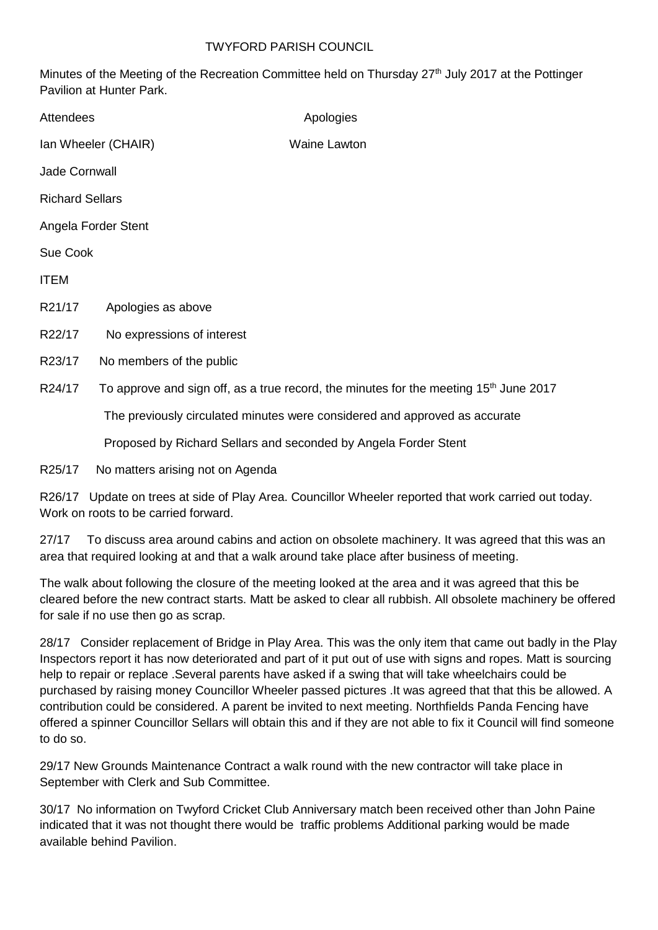## TWYFORD PARISH COUNCIL

Minutes of the Meeting of the Recreation Committee held on Thursday 27<sup>th</sup> July 2017 at the Pottinger Pavilion at Hunter Park.

| Attendees              |                                                                            | Apologies                                                                                         |
|------------------------|----------------------------------------------------------------------------|---------------------------------------------------------------------------------------------------|
|                        | Ian Wheeler (CHAIR)                                                        | <b>Waine Lawton</b>                                                                               |
| Jade Cornwall          |                                                                            |                                                                                                   |
| <b>Richard Sellars</b> |                                                                            |                                                                                                   |
|                        | Angela Forder Stent                                                        |                                                                                                   |
| Sue Cook               |                                                                            |                                                                                                   |
| <b>ITEM</b>            |                                                                            |                                                                                                   |
| R21/17                 | Apologies as above                                                         |                                                                                                   |
| R22/17                 | No expressions of interest                                                 |                                                                                                   |
| R23/17                 | No members of the public                                                   |                                                                                                   |
| R24/17                 |                                                                            | To approve and sign off, as a true record, the minutes for the meeting 15 <sup>th</sup> June 2017 |
|                        | The previously circulated minutes were considered and approved as accurate |                                                                                                   |
|                        |                                                                            | Proposed by Richard Sellars and seconded by Angela Forder Stent                                   |

R25/17 No matters arising not on Agenda

R26/17 Update on trees at side of Play Area. Councillor Wheeler reported that work carried out today. Work on roots to be carried forward.

27/17 To discuss area around cabins and action on obsolete machinery. It was agreed that this was an area that required looking at and that a walk around take place after business of meeting.

The walk about following the closure of the meeting looked at the area and it was agreed that this be cleared before the new contract starts. Matt be asked to clear all rubbish. All obsolete machinery be offered for sale if no use then go as scrap.

28/17 Consider replacement of Bridge in Play Area. This was the only item that came out badly in the Play Inspectors report it has now deteriorated and part of it put out of use with signs and ropes. Matt is sourcing help to repair or replace .Several parents have asked if a swing that will take wheelchairs could be purchased by raising money Councillor Wheeler passed pictures .It was agreed that that this be allowed. A contribution could be considered. A parent be invited to next meeting. Northfields Panda Fencing have offered a spinner Councillor Sellars will obtain this and if they are not able to fix it Council will find someone to do so.

29/17 New Grounds Maintenance Contract a walk round with the new contractor will take place in September with Clerk and Sub Committee.

30/17 No information on Twyford Cricket Club Anniversary match been received other than John Paine indicated that it was not thought there would be traffic problems Additional parking would be made available behind Pavilion.